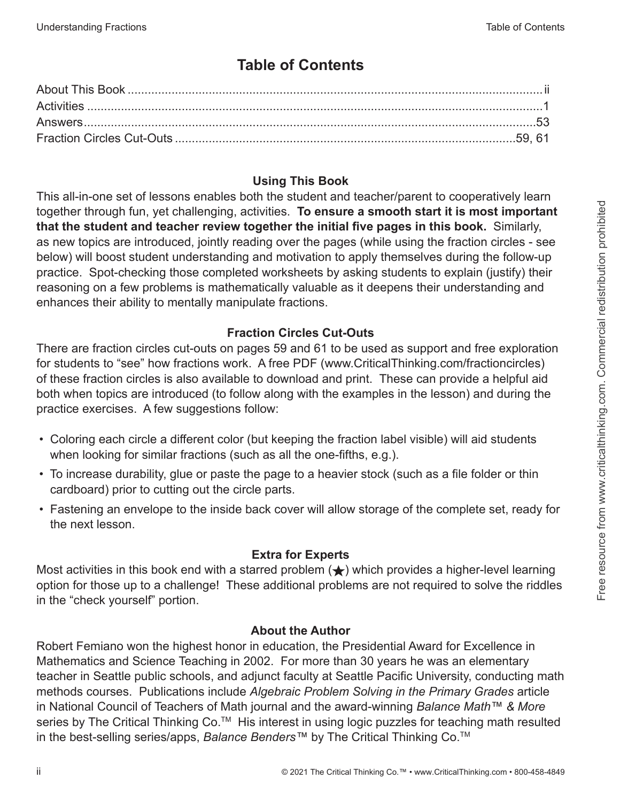## **Table of Contents**

#### **Using This Book**

This all-in-one set of lessons enables both the student and teacher/parent to cooperatively learn together through fun, yet challenging, activities. **To ensure a smooth start it is most important that the student and teacher review together the initial five pages in this book.** Similarly, as new topics are introduced, jointly reading over the pages (while using the fraction circles - see below) will boost student understanding and motivation to apply themselves during the follow-up practice. Spot-checking those completed worksheets by asking students to explain (justify) their reasoning on a few problems is mathematically valuable as it deepens their understanding and enhances their ability to mentally manipulate fractions.

## **Fraction Circles Cut-Outs**

There are fraction circles cut-outs on pages 59 and 61 to be used as support and free exploration for students to "see" how fractions work. A free PDF (www.CriticalThinking.com/fractioncircles) of these fraction circles is also available to download and print. These can provide a helpful aid both when topics are introduced (to follow along with the examples in the lesson) and during the practice exercises. A few suggestions follow:

- Coloring each circle a different color (but keeping the fraction label visible) will aid students when looking for similar fractions (such as all the one-fifths, e.g.).
- To increase durability, glue or paste the page to a heavier stock (such as a file folder or thin cardboard) prior to cutting out the circle parts.
- Fastening an envelope to the inside back cover will allow storage of the complete set, ready for the next lesson.

## **Extra for Experts**

Most activities in this book end with a starred problem  $(\bigstar)$  which provides a higher-level learning option for those up to a challenge! These additional problems are not required to solve the riddles in the "check yourself" portion.

## **About the Author**

Robert Femiano won the highest honor in education, the Presidential Award for Excellence in Mathematics and Science Teaching in 2002. For more than 30 years he was an elementary teacher in Seattle public schools, and adjunct faculty at Seattle Pacific University, conducting math methods courses. Publications include *Algebraic Problem Solving in the Primary Grades* article in National Council of Teachers of Math journal and the award-winning *Balance Math™ & More* series by The Critical Thinking Co.<sup>™</sup> His interest in using logic puzzles for teaching math resulted in the best-selling series/apps, *Balance Benders™* by The Critical Thinking Co.TM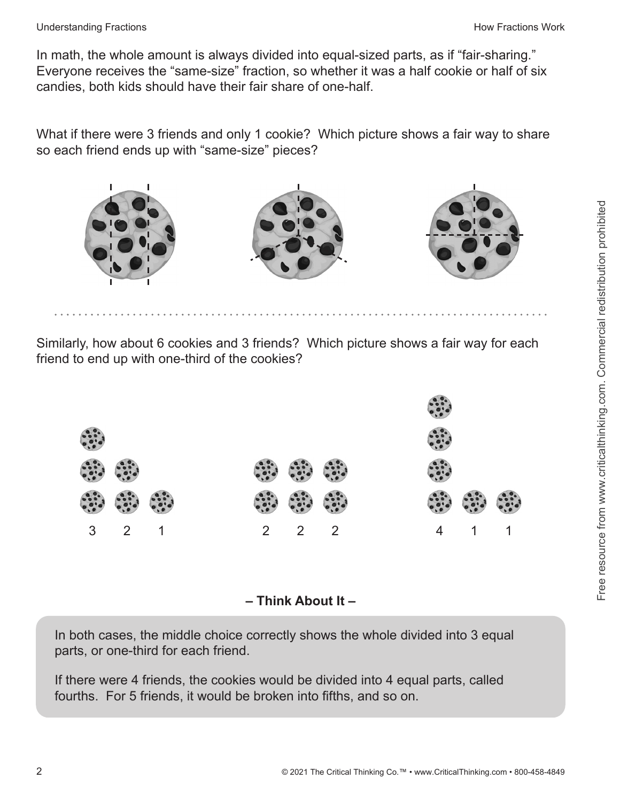#### Understanding Fractions **How Fractions** Work **How Fractions** Work

In math, the whole amount is always divided into equal-sized parts, as if "fair-sharing." Everyone receives the "same-size" fraction, so whether it was a half cookie or half of six candies, both kids should have their fair share of one-half.

What if there were 3 friends and only 1 cookie? Which picture shows a fair way to share so each friend ends up with "same-size" pieces?



Similarly, how about 6 cookies and 3 friends? Which picture shows a fair way for each friend to end up with one-third of the cookies?



**– Think About It –**

In both cases, the middle choice correctly shows the whole divided into 3 equal parts, or one-third for each friend.

If there were 4 friends, the cookies would be divided into 4 equal parts, called fourths. For 5 friends, it would be broken into fifths, and so on.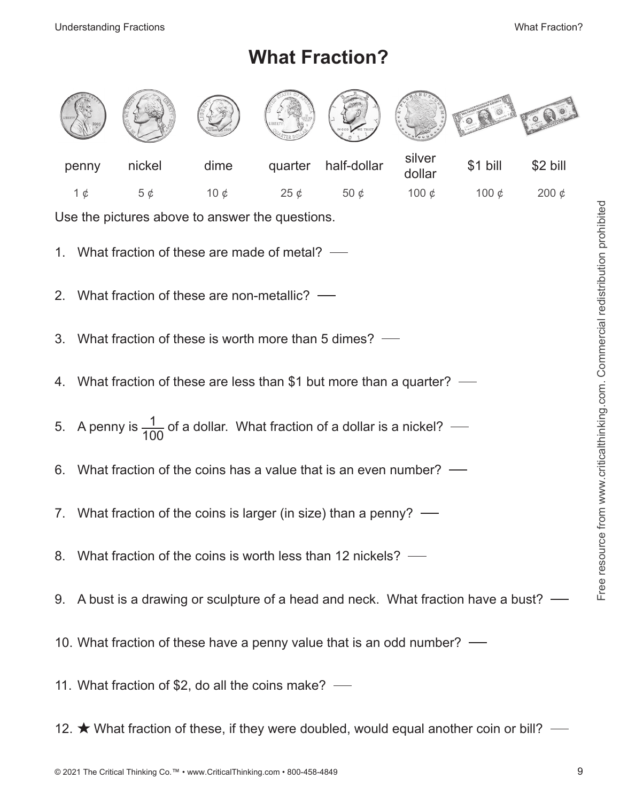# **What Fraction?**

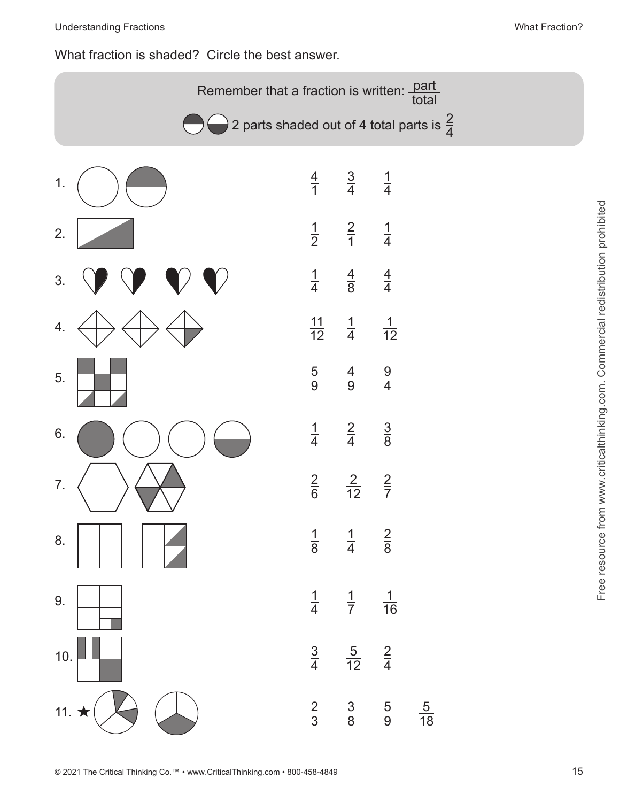## What fraction is shaded? Circle the best answer.

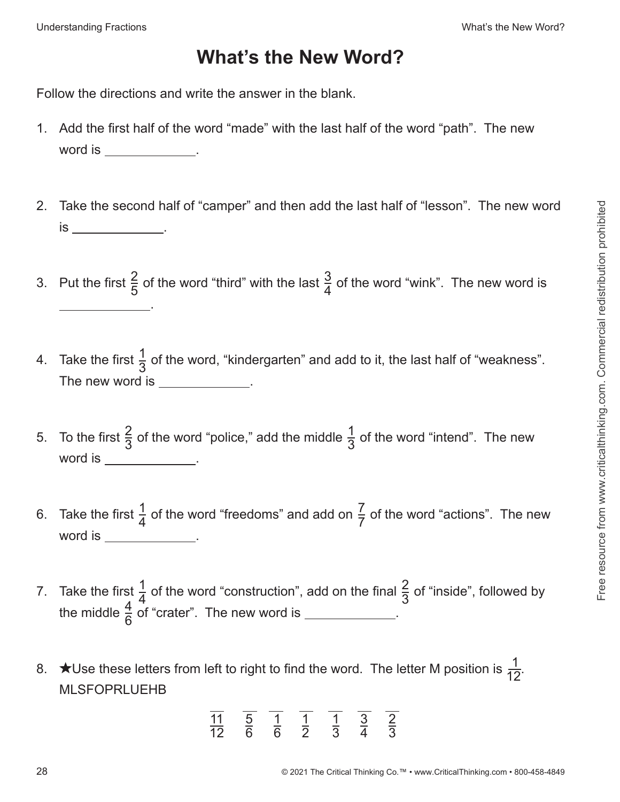## **What's the New Word?**

Follow the directions and write the answer in the blank.

- 1. Add the first half of the word "made" with the last half of the word "path". The new word is .
- 2. Take the second half of "camper" and then add the last half of "lesson". The new word is \_\_\_\_\_\_\_\_\_\_\_\_\_\_\_
- 3. Put the first  $\frac{2}{5}$  of the word "third" with the last  $\frac{3}{4}$  of the word "wink". The new word is .
- 4. Take the first  $\frac{1}{3}$  of the word, "kindergarten" and add to it, the last half of "weakness". The new word is \_\_\_\_\_\_\_\_\_\_\_\_\_.
- 5. To the first  $\frac{2}{3}$  of the word "police," add the middle  $\frac{1}{3}$  of the word "intend". The new word is  $\_\_$
- 6. Take the first  $\frac{1}{4}$  of the word "freedoms" and add on  $\frac{7}{7}$  of the word "actions". The new word is **word** is **word** is **word** is **when the set of the set of the set of the set of the set of the set of the set of the set of the set of the set of the set of the set of the set of the set of the set of the set of th**
- 7. Take the first  $\frac{1}{4}$  of the word "construction", add on the final  $\frac{2}{3}$  of "inside", followed by the middle  $\frac{4}{6}$  of "crater". The new word is \_\_\_\_\_\_\_\_\_\_\_\_.
- 8. ★Use these letters from left to right to find the word. The letter M position is  $\frac{1}{12}$ . MLSFOPRLUEHB